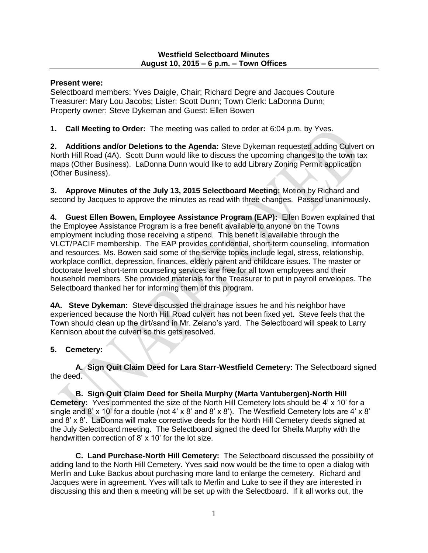## **Present were:**

Selectboard members: Yves Daigle, Chair; Richard Degre and Jacques Couture Treasurer: Mary Lou Jacobs; Lister: Scott Dunn; Town Clerk: LaDonna Dunn; Property owner: Steve Dykeman and Guest: Ellen Bowen

**1. Call Meeting to Order:** The meeting was called to order at 6:04 p.m. by Yves.

**2. Additions and/or Deletions to the Agenda:** Steve Dykeman requested adding Culvert on North Hill Road (4A). Scott Dunn would like to discuss the upcoming changes to the town tax maps (Other Business). LaDonna Dunn would like to add Library Zoning Permit application (Other Business).

**3. Approve Minutes of the July 13, 2015 Selectboard Meeting:** Motion by Richard and second by Jacques to approve the minutes as read with three changes. Passed unanimously.

**4. Guest Ellen Bowen, Employee Assistance Program (EAP):** Ellen Bowen explained that the Employee Assistance Program is a free benefit available to anyone on the Towns employment including those receiving a stipend. This benefit is available through the VLCT/PACIF membership. The EAP provides confidential, short-term counseling, information and resources. Ms. Bowen said some of the service topics include legal, stress, relationship, workplace conflict, depression, finances, elderly parent and childcare issues. The master or doctorate level short-term counseling services are free for all town employees and their household members. She provided materials for the Treasurer to put in payroll envelopes. The Selectboard thanked her for informing them of this program.

**4A. Steve Dykeman:** Steve discussed the drainage issues he and his neighbor have experienced because the North Hill Road culvert has not been fixed yet. Steve feels that the Town should clean up the dirt/sand in Mr. Zelano's yard. The Selectboard will speak to Larry Kennison about the culvert so this gets resolved.

# **5. Cemetery:**

**A. Sign Quit Claim Deed for Lara Starr-Westfield Cemetery:** The Selectboard signed the deed.

**B. Sign Quit Claim Deed for Sheila Murphy (Marta Vantubergen)-North Hill Cemetery:** Yves commented the size of the North Hill Cemetery lots should be 4' x 10' for a single and 8' x 10' for a double (not 4' x 8' and 8' x 8'). The Westfield Cemetery lots are 4' x 8' and 8' x 8'. LaDonna will make corrective deeds for the North Hill Cemetery deeds signed at the July Selectboard meeting. The Selectboard signed the deed for Sheila Murphy with the handwritten correction of 8' x 10' for the lot size.

**C. Land Purchase-North Hill Cemetery:** The Selectboard discussed the possibility of adding land to the North Hill Cemetery. Yves said now would be the time to open a dialog with Merlin and Luke Backus about purchasing more land to enlarge the cemetery. Richard and Jacques were in agreement. Yves will talk to Merlin and Luke to see if they are interested in discussing this and then a meeting will be set up with the Selectboard. If it all works out, the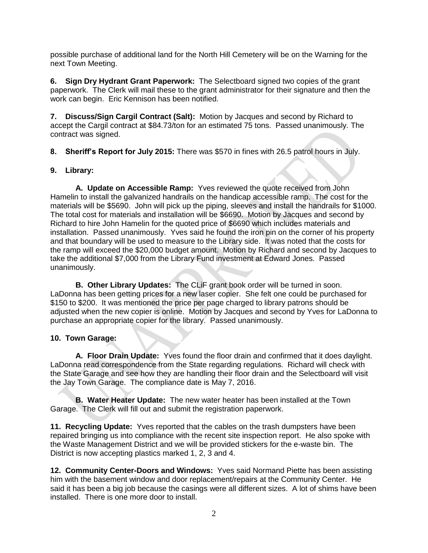possible purchase of additional land for the North Hill Cemetery will be on the Warning for the next Town Meeting.

**6. Sign Dry Hydrant Grant Paperwork:** The Selectboard signed two copies of the grant paperwork. The Clerk will mail these to the grant administrator for their signature and then the work can begin. Eric Kennison has been notified.

**7. Discuss/Sign Cargil Contract (Salt):** Motion by Jacques and second by Richard to accept the Cargil contract at \$84.73/ton for an estimated 75 tons. Passed unanimously. The contract was signed.

**8. Sheriff's Report for July 2015:** There was \$570 in fines with 26.5 patrol hours in July.

### **9. Library:**

**A. Update on Accessible Ramp:** Yves reviewed the quote received from John Hamelin to install the galvanized handrails on the handicap accessible ramp. The cost for the materials will be \$5690. John will pick up the piping, sleeves and install the handrails for \$1000. The total cost for materials and installation will be \$6690. Motion by Jacques and second by Richard to hire John Hamelin for the quoted price of \$6690 which includes materials and installation. Passed unanimously. Yves said he found the iron pin on the corner of his property and that boundary will be used to measure to the Library side. It was noted that the costs for the ramp will exceed the \$20,000 budget amount. Motion by Richard and second by Jacques to take the additional \$7,000 from the Library Fund investment at Edward Jones. Passed unanimously.

**B. Other Library Updates:** The CLiF grant book order will be turned in soon. LaDonna has been getting prices for a new laser copier. She felt one could be purchased for \$150 to \$200. It was mentioned the price per page charged to library patrons should be adjusted when the new copier is online. Motion by Jacques and second by Yves for LaDonna to purchase an appropriate copier for the library. Passed unanimously.

# **10. Town Garage:**

**A. Floor Drain Update:** Yves found the floor drain and confirmed that it does daylight. LaDonna read correspondence from the State regarding regulations. Richard will check with the State Garage and see how they are handling their floor drain and the Selectboard will visit the Jay Town Garage. The compliance date is May 7, 2016.

**B. Water Heater Update:** The new water heater has been installed at the Town Garage. The Clerk will fill out and submit the registration paperwork.

**11. Recycling Update:** Yves reported that the cables on the trash dumpsters have been repaired bringing us into compliance with the recent site inspection report. He also spoke with the Waste Management District and we will be provided stickers for the e-waste bin. The District is now accepting plastics marked 1, 2, 3 and 4.

**12. Community Center-Doors and Windows:** Yves said Normand Piette has been assisting him with the basement window and door replacement/repairs at the Community Center. He said it has been a big job because the casings were all different sizes. A lot of shims have been installed. There is one more door to install.